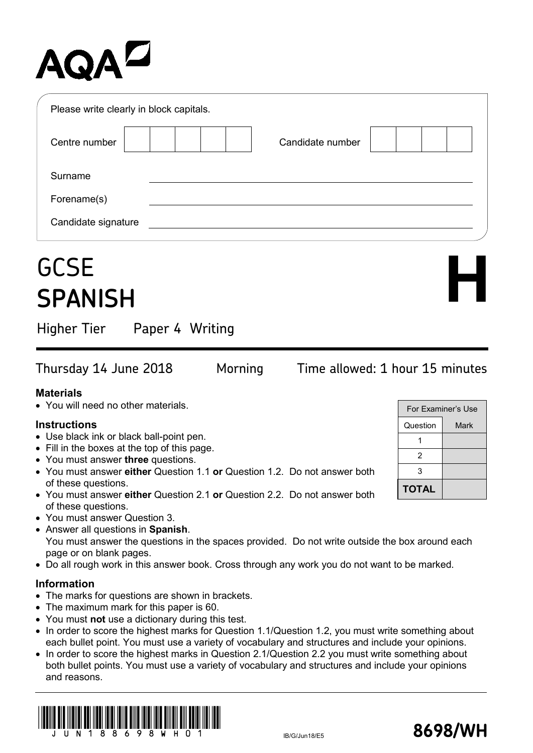# AQA<sup>D</sup>

| Please write clearly in block capitals. |                  |
|-----------------------------------------|------------------|
| Centre number                           | Candidate number |
| Surname                                 |                  |
| Forename(s)                             |                  |
| Candidate signature                     |                  |

## **GCSE SPANISH**

Higher Tier Paper 4 Writing

### Thursday 14 June 2018 Morning Time allowed: 1 hour 15 minutes

For Examiner's Use Question | Mark

**H**

1 2 3

**TOTAL**

#### **Materials**

• You will need no other materials.

#### **Instructions**

- Use black ink or black ball-point pen.
- Fill in the boxes at the top of this page.
- You must answer **three** questions.
- You must answer **either** Question 1.1 **or** Question 1.2. Do not answer both of these questions.
- You must answer **either** Question 2.1 **or** Question 2.2. Do not answer both of these questions.
- You must answer Question 3.
- Answer all questions in **Spanish**. You must answer the questions in the spaces provided. Do not write outside the box around each page or on blank pages.
- Do all rough work in this answer book. Cross through any work you do not want to be marked.

#### **Information**

- The marks for questions are shown in brackets.
- The maximum mark for this paper is 60.
- You must **not** use a dictionary during this test.
- In order to score the highest marks for Question 1.1/Question 1.2, you must write something about each bullet point. You must use a variety of vocabulary and structures and include your opinions.
- In order to score the highest marks in Question 2.1/Question 2.2 you must write something about about about a both bullet points. You must use a variety of vocabulary and structures and include you and reasons.



| טווטוועט וו. |  |
|--------------|--|
| thing about  |  |
| ur opinions  |  |
|              |  |
|              |  |
|              |  |

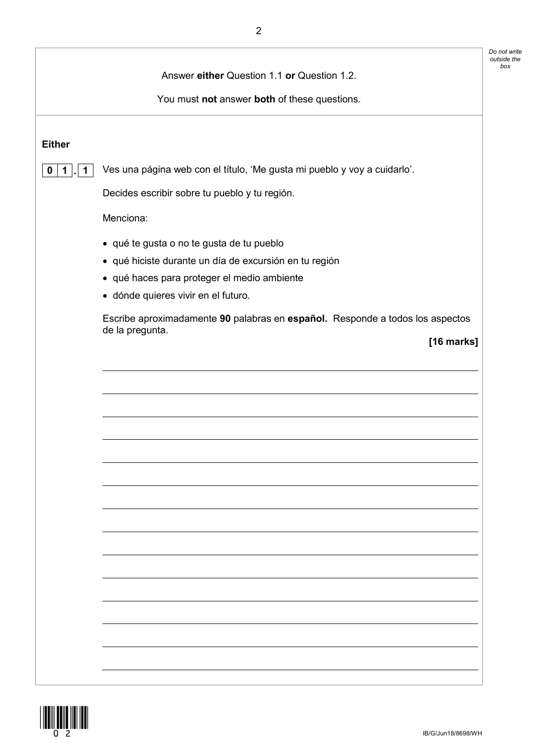|                            |                                                                                                  | Do not write<br>outside the |
|----------------------------|--------------------------------------------------------------------------------------------------|-----------------------------|
|                            | Answer either Question 1.1 or Question 1.2.                                                      |                             |
|                            | You must not answer both of these questions.                                                     |                             |
|                            |                                                                                                  |                             |
| <b>Either</b>              |                                                                                                  |                             |
| $\mathbf 0$<br>$\mathbf 1$ | Ves una página web con el título, 'Me gusta mi pueblo y voy a cuidarlo'.                         |                             |
|                            | Decides escribir sobre tu pueblo y tu región.                                                    |                             |
|                            | Menciona:                                                                                        |                             |
|                            | • qué te gusta o no te gusta de tu pueblo                                                        |                             |
|                            | · qué hiciste durante un día de excursión en tu región                                           |                             |
|                            | · qué haces para proteger el medio ambiente                                                      |                             |
|                            | · dónde quieres vivir en el futuro.                                                              |                             |
|                            | Escribe aproximadamente 90 palabras en español. Responde a todos los aspectos<br>de la pregunta. |                             |
|                            | [16 marks]                                                                                       |                             |
|                            |                                                                                                  |                             |
|                            |                                                                                                  |                             |
|                            |                                                                                                  |                             |
|                            |                                                                                                  |                             |
|                            |                                                                                                  |                             |
|                            |                                                                                                  |                             |
|                            |                                                                                                  |                             |
|                            |                                                                                                  |                             |
|                            |                                                                                                  |                             |
|                            |                                                                                                  |                             |
|                            |                                                                                                  |                             |
|                            |                                                                                                  |                             |
|                            |                                                                                                  |                             |
|                            |                                                                                                  |                             |
|                            |                                                                                                  |                             |
|                            |                                                                                                  |                             |
|                            |                                                                                                  |                             |
|                            |                                                                                                  |                             |

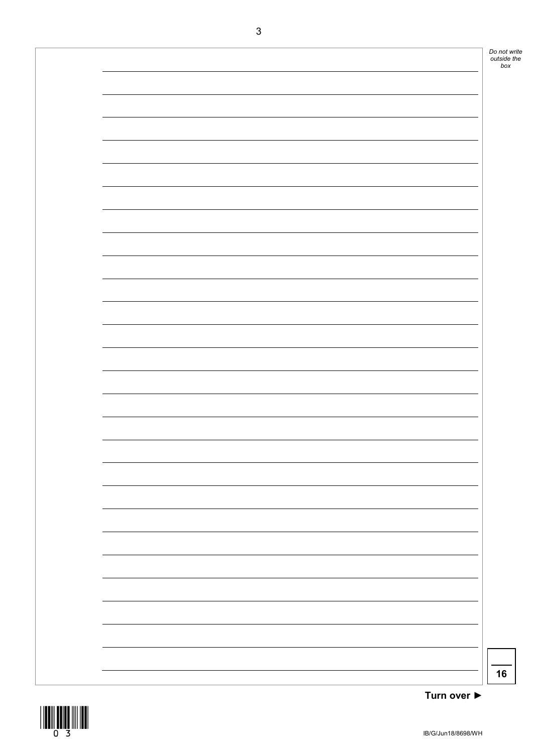

**Turn over ►**

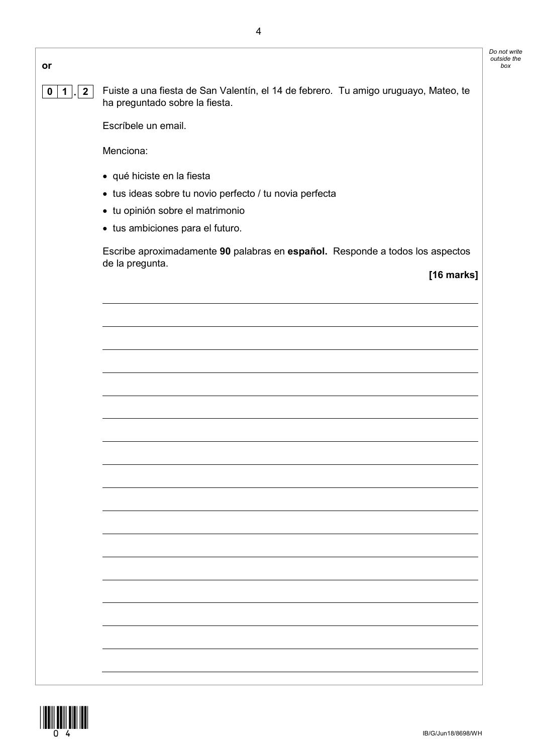| I<br>۰<br>۰.<br>٦<br>٧<br>×<br>۰. |  |
|-----------------------------------|--|
|                                   |  |

**0 1 . 2** Fuiste a una fiesta de San Valentín, el 14 de febrero. Tu amigo uruguayo, Mateo, te ha preguntado sobre la fiesta.

Escríbele un email.

Menciona:

- qué hiciste en la fiesta
- tus ideas sobre tu novio perfecto / tu novia perfecta
- tu opinión sobre el matrimonio
- tus ambiciones para el futuro.

Escribe aproximadamente **90** palabras en **español.** Responde a todos los aspectos de la pregunta.

**[16 marks]**

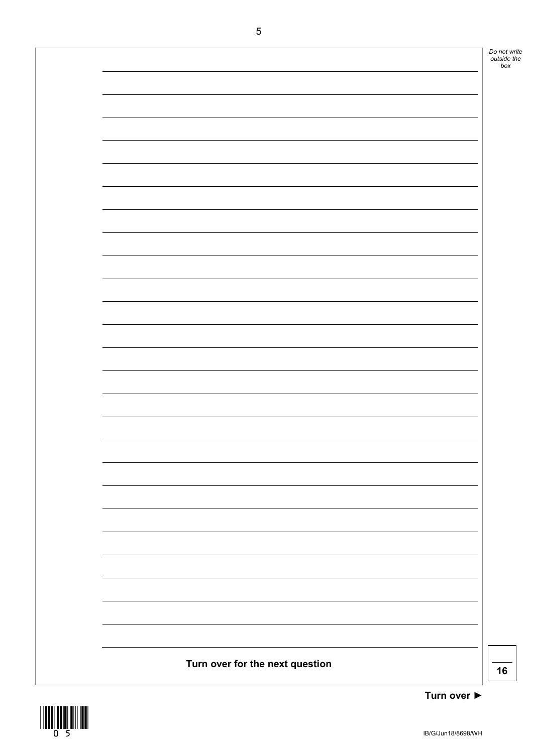

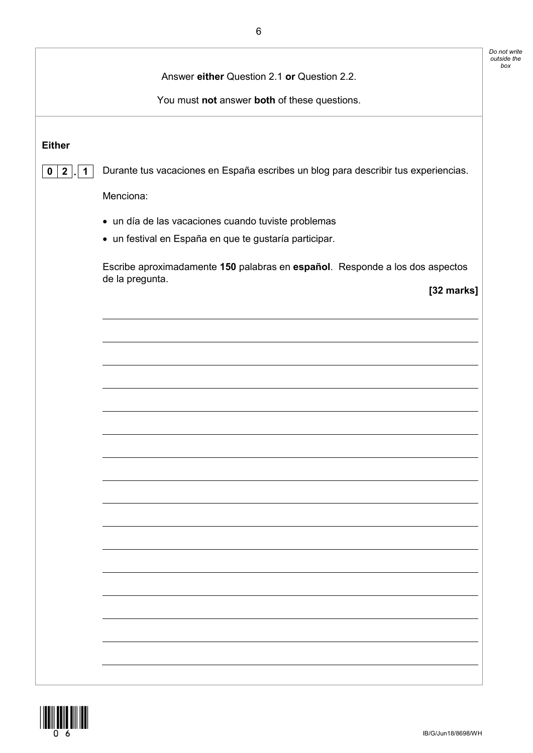|                                     | Answer either Question 2.1 or Question 2.2.                                        |
|-------------------------------------|------------------------------------------------------------------------------------|
|                                     |                                                                                    |
|                                     | You must not answer both of these questions.                                       |
|                                     |                                                                                    |
| <b>Either</b>                       |                                                                                    |
| $\overline{2}$<br>$\mathbf 0$<br>1. | Durante tus vacaciones en España escribes un blog para describir tus experiencias. |
|                                     | Menciona:                                                                          |
|                                     | • un día de las vacaciones cuando tuviste problemas                                |
|                                     | · un festival en España en que te gustaría participar.                             |
|                                     | Escribe aproximadamente 150 palabras en español. Responde a los dos aspectos       |
|                                     | de la pregunta.<br>[32 marks]                                                      |
|                                     |                                                                                    |
|                                     |                                                                                    |
|                                     |                                                                                    |
|                                     |                                                                                    |
|                                     |                                                                                    |
|                                     |                                                                                    |
|                                     |                                                                                    |
|                                     |                                                                                    |
|                                     |                                                                                    |
|                                     |                                                                                    |
|                                     |                                                                                    |
|                                     |                                                                                    |
|                                     |                                                                                    |
|                                     |                                                                                    |
|                                     |                                                                                    |
|                                     |                                                                                    |
|                                     |                                                                                    |
|                                     |                                                                                    |

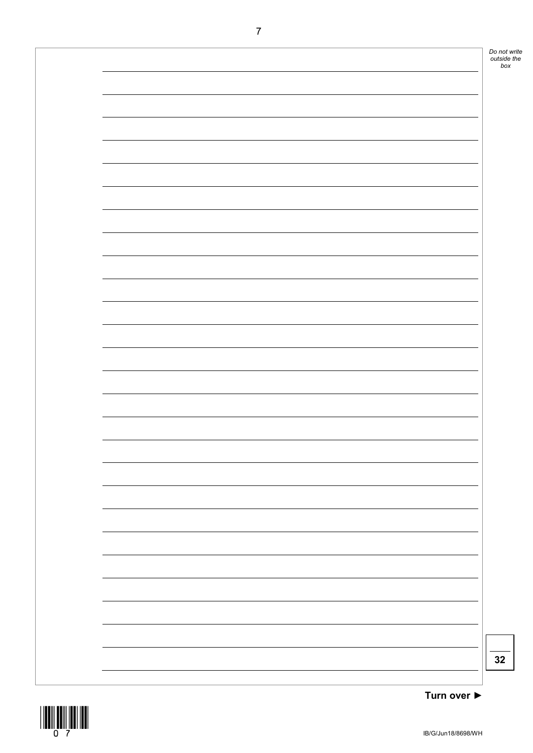

\*07\*

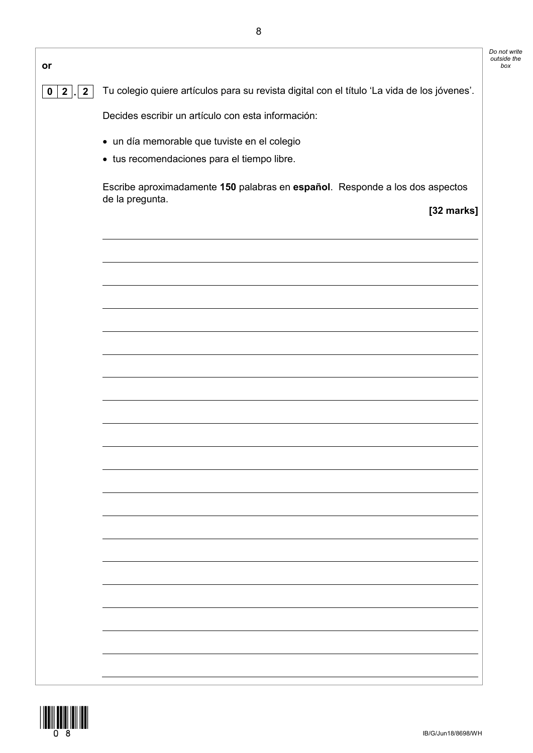| or                                            |                                                                                                 |
|-----------------------------------------------|-------------------------------------------------------------------------------------------------|
| $\overline{2}$<br>$\mathbf 0$<br>$\mathbf{2}$ | Tu colegio quiere artículos para su revista digital con el título 'La vida de los jóvenes'.     |
|                                               | Decides escribir un artículo con esta información:                                              |
|                                               | · un día memorable que tuviste en el colegio                                                    |
|                                               | • tus recomendaciones para el tiempo libre.                                                     |
|                                               | Escribe aproximadamente 150 palabras en español. Responde a los dos aspectos<br>de la pregunta. |
|                                               | [32 marks]                                                                                      |
|                                               |                                                                                                 |
|                                               |                                                                                                 |
|                                               |                                                                                                 |
|                                               |                                                                                                 |
|                                               |                                                                                                 |
|                                               |                                                                                                 |
|                                               |                                                                                                 |
|                                               |                                                                                                 |
|                                               |                                                                                                 |
|                                               |                                                                                                 |
|                                               |                                                                                                 |
|                                               |                                                                                                 |
|                                               |                                                                                                 |
|                                               |                                                                                                 |
|                                               |                                                                                                 |
|                                               |                                                                                                 |
|                                               |                                                                                                 |
|                                               |                                                                                                 |
|                                               |                                                                                                 |
|                                               |                                                                                                 |
|                                               |                                                                                                 |



*Do not write outside the*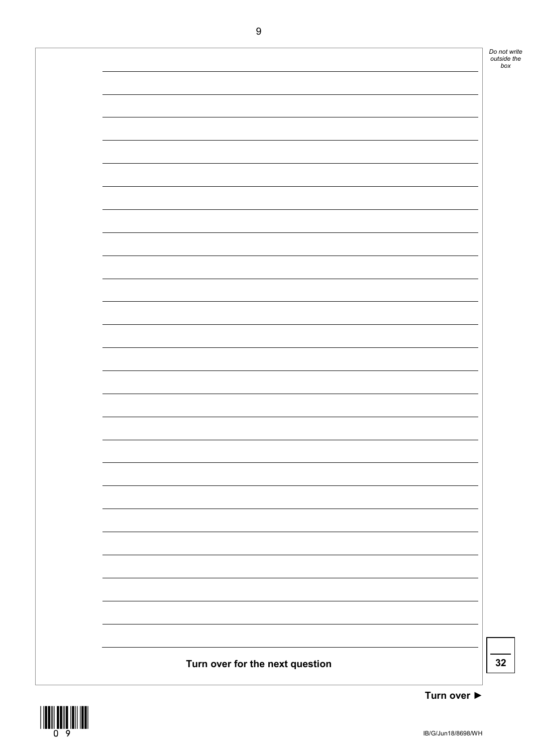



**Turn over ►**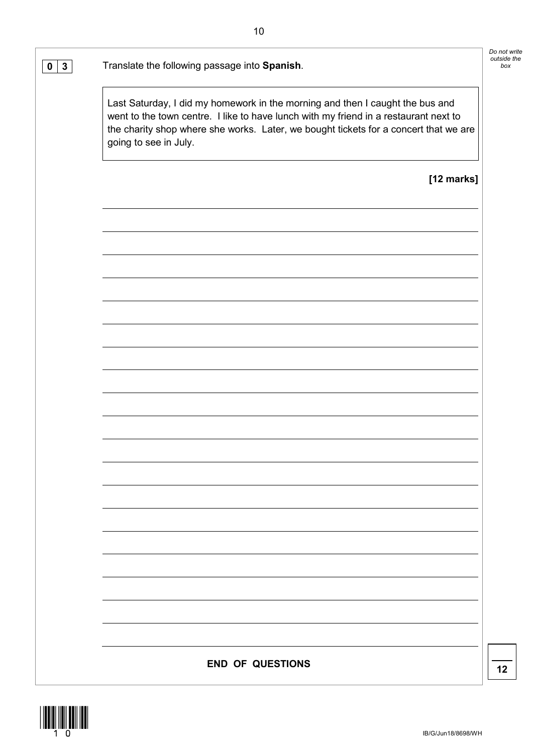**0 3** Translate the following passage into **Spanish**. *box*

Last Saturday, I did my homework in the morning and then I caught the bus and went to the town centre. I like to have lunch with my friend in a restaurant next to the charity shop where she works. Later, we bought tickets for a concert that we are going to see in July.

**[12 marks]**

*Do not write outside the* 

**END OF QUESTIONS**  $\begin{array}{|c|c|c|c|}\hline \textbf{12} & \textbf{12} & \textbf{13} & \textbf{14} & \textbf{15} \\ \hline \end{array}$ 

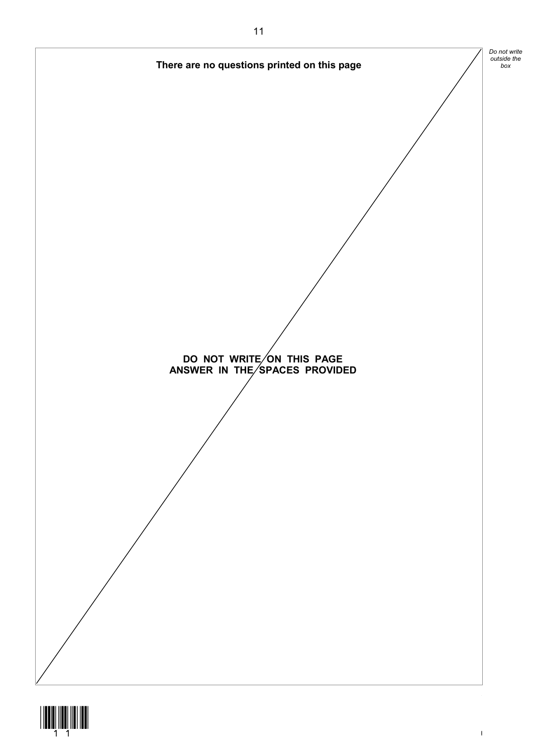

IB/G/Jun18/8698/WH